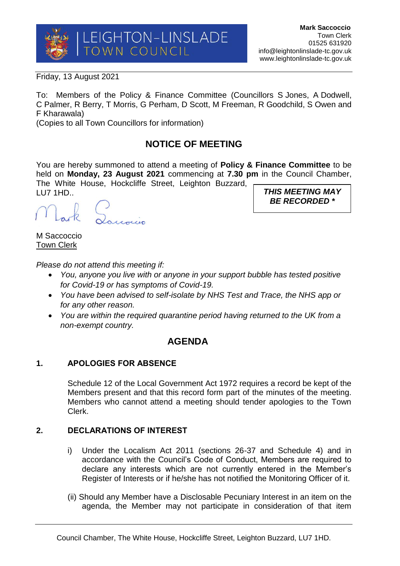

*BE RECORDED \**

Friday, 13 August 2021

To: Members of the Policy & Finance Committee (Councillors S Jones, A Dodwell, C Palmer, R Berry, T Morris, G Perham, D Scott, M Freeman, R Goodchild, S Owen and F Kharawala)

(Copies to all Town Councillors for information)

# **NOTICE OF MEETING**

You are hereby summoned to attend a meeting of **Policy & Finance Committee** to be held on **Monday, 23 August 2021** commencing at **7.30 pm** in the Council Chamber, The White House, Hockcliffe Street, Leighton Buzzard, LU7 1HD.. *THIS MEETING MAY* 

Panoin

M Saccoccio Town Clerk

*Please do not attend this meeting if:*

- *You, anyone you live with or anyone in your support bubble has tested positive for Covid-19 or has symptoms of Covid-19.*
- *You have been advised to self-isolate by NHS Test and Trace, the NHS app or for any other reason.*
- *You are within the required quarantine period having returned to the UK from a non-exempt country.*

## **AGENDA**

## **1. APOLOGIES FOR ABSENCE**

Schedule 12 of the Local Government Act 1972 requires a record be kept of the Members present and that this record form part of the minutes of the meeting. Members who cannot attend a meeting should tender apologies to the Town Clerk.

## **2. DECLARATIONS OF INTEREST**

- i) Under the Localism Act 2011 (sections 26-37 and Schedule 4) and in accordance with the Council's Code of Conduct, Members are required to declare any interests which are not currently entered in the Member's Register of Interests or if he/she has not notified the Monitoring Officer of it.
- (ii) Should any Member have a Disclosable Pecuniary Interest in an item on the agenda, the Member may not participate in consideration of that item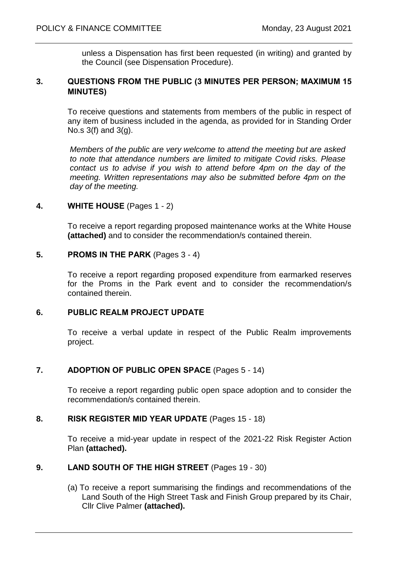unless a Dispensation has first been requested (in writing) and granted by the Council (see Dispensation Procedure).

## **3. QUESTIONS FROM THE PUBLIC (3 MINUTES PER PERSON; MAXIMUM 15 MINUTES)**

To receive questions and statements from members of the public in respect of any item of business included in the agenda, as provided for in Standing Order No.s 3(f) and 3(g).

*Members of the public are very welcome to attend the meeting but are asked to note that attendance numbers are limited to mitigate Covid risks. Please contact us to advise if you wish to attend before 4pm on the day of the meeting. Written representations may also be submitted before 4pm on the day of the meeting.* 

#### **4. WHITE HOUSE** (Pages 1 - 2)

To receive a report regarding proposed maintenance works at the White House **(attached)** and to consider the recommendation/s contained therein.

#### **5. PROMS IN THE PARK** (Pages 3 - 4)

To receive a report regarding proposed expenditure from earmarked reserves for the Proms in the Park event and to consider the recommendation/s contained therein.

#### **6. PUBLIC REALM PROJECT UPDATE**

To receive a verbal update in respect of the Public Realm improvements project.

## **7. ADOPTION OF PUBLIC OPEN SPACE** (Pages 5 - 14)

To receive a report regarding public open space adoption and to consider the recommendation/s contained therein.

## **8. RISK REGISTER MID YEAR UPDATE** (Pages 15 - 18)

To receive a mid-year update in respect of the 2021-22 Risk Register Action Plan **(attached).** 

## **9. LAND SOUTH OF THE HIGH STREET** (Pages 19 - 30)

(a) To receive a report summarising the findings and recommendations of the Land South of the High Street Task and Finish Group prepared by its Chair, Cllr Clive Palmer **(attached).**